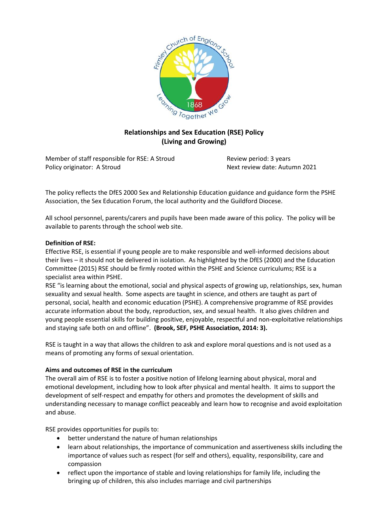

# **Relationships and Sex Education (RSE) Policy (Living and Growing)**

Member of staff responsible for RSE: A Stroud Review period: 3 years Policy originator: A Stroud Next review date: Autumn 2021

The policy reflects the DfES 2000 Sex and Relationship Education guidance and guidance form the PSHE Association, the Sex Education Forum, the local authority and the Guildford Diocese.

All school personnel, parents/carers and pupils have been made aware of this policy. The policy will be available to parents through the school web site.

## **Definition of RSE:**

Effective RSE, is essential if young people are to make responsible and well-informed decisions about their lives – it should not be delivered in isolation. As highlighted by the DfES (2000) and the Education Committee (2015) RSE should be firmly rooted within the PSHE and Science curriculums; RSE is a specialist area within PSHE.

RSE "is learning about the emotional, social and physical aspects of growing up, relationships, sex, human sexuality and sexual health. Some aspects are taught in science, and others are taught as part of personal, social, health and economic education (PSHE). A comprehensive programme of RSE provides accurate information about the body, reproduction, sex, and sexual health. It also gives children and young people essential skills for building positive, enjoyable, respectful and non-exploitative relationships and staying safe both on and offline". **(Brook, SEF, PSHE Association, 2014: 3).**

RSE is taught in a way that allows the children to ask and explore moral questions and is not used as a means of promoting any forms of sexual orientation.

#### **Aims and outcomes of RSE in the curriculum**

The overall aim of RSE is to foster a positive notion of lifelong learning about physical, moral and emotional development, including how to look after physical and mental health. It aims to support the development of self-respect and empathy for others and promotes the development of skills and understanding necessary to manage conflict peaceably and learn how to recognise and avoid exploitation and abuse.

RSE provides opportunities for pupils to:

- better understand the nature of human relationships
- learn about relationships, the importance of communication and assertiveness skills including the importance of values such as respect (for self and others), equality, responsibility, care and compassion
- reflect upon the importance of stable and loving relationships for family life, including the bringing up of children, this also includes marriage and civil partnerships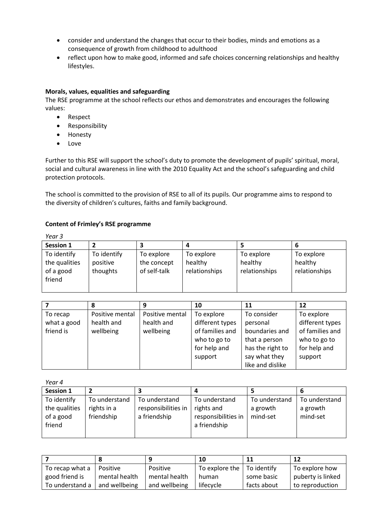- consider and understand the changes that occur to their bodies, minds and emotions as a consequence of growth from childhood to adulthood
- reflect upon how to make good, informed and safe choices concerning relationships and healthy lifestyles.

## **Morals, values, equalities and safeguarding**

The RSE programme at the school reflects our ethos and demonstrates and encourages the following values:

- Respect
- Responsibility
- Honesty
- Love

Further to this RSE will support the school's duty to promote the development of pupils' spiritual, moral, social and cultural awareness in line with the 2010 Equality Act and the school's safeguarding and child protection protocols.

The school is committed to the provision of RSE to all of its pupils. Our programme aims to respond to the diversity of children's cultures, faiths and family background.

## **Content of Frimley's RSE programme**

| Year 3                              |                                           |                                        |                                        |                                        |  |  |  |
|-------------------------------------|-------------------------------------------|----------------------------------------|----------------------------------------|----------------------------------------|--|--|--|
|                                     |                                           |                                        |                                        | D                                      |  |  |  |
| To identify<br>positive<br>thoughts | To explore<br>the concept<br>of self-talk | To explore<br>healthy<br>relationships | To explore<br>healthy<br>relationships | To explore<br>healthy<br>relationships |  |  |  |
|                                     |                                           |                                        |                                        |                                        |  |  |  |

|             | 8               |                 | 10              | 11               | 12              |
|-------------|-----------------|-----------------|-----------------|------------------|-----------------|
| To recap    | Positive mental | Positive mental | To explore      | To consider      | To explore      |
| what a good | health and      | health and      | different types | personal         | different types |
| friend is   | wellbeing       | wellbeing       | of families and | boundaries and   | of families and |
|             |                 |                 | who to go to    | that a person    | who to go to    |
|             |                 |                 | for help and    | has the right to | for help and    |
|             |                 |                 | support         | say what they    | support         |
|             |                 |                 |                 | like and dislike |                 |

*Year 4*

| <b>Session 1</b> |               |                     |                     |               |               |
|------------------|---------------|---------------------|---------------------|---------------|---------------|
| To identify      | To understand | To understand       | To understand       | To understand | To understand |
| the qualities    | rights in a   | responsibilities in | rights and          | a growth      | a growth      |
| of a good        | friendship    | a friendship        | responsibilities in | mind-set      | mind-set      |
| friend           |               |                     | a friendship        |               |               |
|                  |               |                     |                     |               |               |

|                 |               |               | 10                 | 11          | 12                |
|-----------------|---------------|---------------|--------------------|-------------|-------------------|
| To recap what a | Positive      | Positive      | To explore the $ $ | To identify | To explore how    |
| good friend is  | mental health | mental health | human              | some basic  | puberty is linked |
| To understand a | and wellbeing | and wellbeing | lifecycle          | facts about | to reproduction   |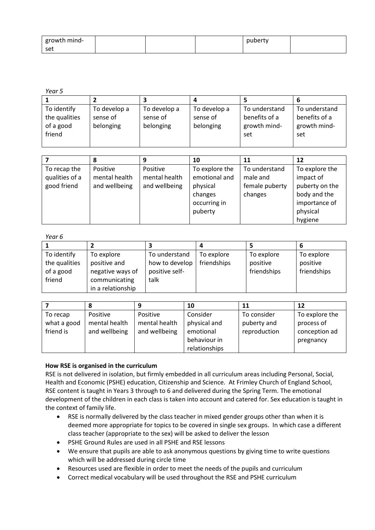| growth mind- |  | nuberty |  |
|--------------|--|---------|--|
| I set        |  |         |  |

*Year 5*

| To identify   | To develop a | To develop a | To develop a | To understand | To understand |
|---------------|--------------|--------------|--------------|---------------|---------------|
| the qualities | sense of     | sense of     | sense of     | benefits of a | benefits of a |
| of a good     | belonging    | belonging    | belonging    | growth mind-  | growth mind-  |
| friend        |              |              |              | set           | set           |
|               |              |              |              |               |               |

|                                               |                                            |                                            | 10                                                                                | 11                                                     | 12                                                                                                    |
|-----------------------------------------------|--------------------------------------------|--------------------------------------------|-----------------------------------------------------------------------------------|--------------------------------------------------------|-------------------------------------------------------------------------------------------------------|
| To recap the<br>qualities of a<br>good friend | Positive<br>mental health<br>and wellbeing | Positive<br>mental health<br>and wellbeing | To explore the<br>emotional and<br>physical<br>changes<br>occurring in<br>puberty | To understand<br>male and<br>female puberty<br>changes | To explore the<br>impact of<br>puberty on the<br>body and the<br>importance of<br>physical<br>hygiene |

*Year 6*

| To identify   | To explore        | To understand  | To explore  | To explore  | To explore  |
|---------------|-------------------|----------------|-------------|-------------|-------------|
| the qualities | positive and      | how to develop | friendships | positive    | positive    |
| of a good     | negative ways of  | positive self- |             | friendships | friendships |
| friend        | communicating     | talk           |             |             |             |
|               | in a relationship |                |             |             |             |

|             |               |               | 10            | 11           | 12             |
|-------------|---------------|---------------|---------------|--------------|----------------|
| To recap    | Positive      | Positive      | Consider      | To consider  | To explore the |
| what a good | mental health | mental health | physical and  | puberty and  | process of     |
| friend is   | and wellbeing | and wellbeing | emotional     | reproduction | conception ad  |
|             |               |               | behaviour in  |              | pregnancy      |
|             |               |               | relationships |              |                |

# **How RSE is organised in the curriculum**

RSE is not delivered in isolation, but firmly embedded in all curriculum areas including Personal, Social, Health and Economic (PSHE) education, Citizenship and Science. At Frimley Church of England School, RSE content is taught in Years 3 through to 6 and delivered during the Spring Term. The emotional development of the children in each class is taken into account and catered for. Sex education is taught in the context of family life.

- RSE is normally delivered by the class teacher in mixed gender groups other than when it is deemed more appropriate for topics to be covered in single sex groups. In which case a different class teacher (appropriate to the sex) will be asked to deliver the lesson
- PSHE Ground Rules are used in all PSHE and RSE lessons
- We ensure that pupils are able to ask anonymous questions by giving time to write questions which will be addressed during circle time
- Resources used are flexible in order to meet the needs of the pupils and curriculum
- Correct medical vocabulary will be used throughout the RSE and PSHE curriculum